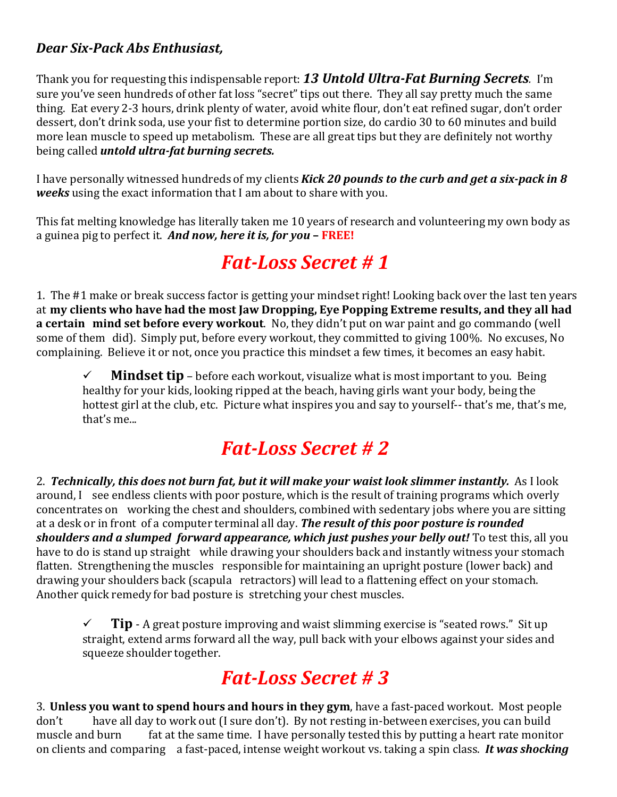#### *Dear Six-Pack Abs Enthusiast,*

Thank you for requesting this indispensable report: *13 Untold Ultra-Fat Burning Secrets.* I'm sure you've seen hundreds of other fat loss "secret" tips out there. They all say pretty much the same thing. Eat every 2-3 hours, drink plenty of water, avoid white flour, don't eat refined sugar, don't order dessert, don't drink soda, use your fist to determine portion size, do cardio 30 to 60 minutes and build more lean muscle to speed up metabolism. These are all great tips but they are definitely not worthy being called *untold ultra-fat burning secrets.*

I have personally witnessed hundreds of my clients *Kick 20 pounds to the curb and get a six-pack in 8 weeks* using the exact information that I am about to share with you.

This fat melting knowledge has literally taken me 10 years of research and volunteering my own body as a guinea pig to perfect it. *And now, here it is, for you* **– FREE!**

## *Fat-Loss Secret # 1*

1. The #1 make or break success factor is getting your mindset right! Looking back over the last ten years at **my clients who have had the most Jaw Dropping, Eye Popping Extreme results, and they all had a certain mind set before every workout**. No, they didn't put on war paint and go commando (well some of them did). Simply put, before every workout, they committed to giving 100%. No excuses, No complaining. Believe it or not, once you practice this mindset a few times, it becomes an easy habit.

 $\checkmark$  **Mindset tip** – before each workout, visualize what is most important to you. Being healthy for your kids, looking ripped at the beach, having girls want your body, being the hottest girl at the club, etc. Picture what inspires you and say to yourself-- that's me, that's me, that's me...

## *Fat-Loss Secret # 2*

2. *Technically, this does not burn fat, but it will make your waist look slimmer instantly.* As I look around, I see endless clients with poor posture, which is the result of training programs which overly concentrates on working the chest and shoulders, combined with sedentary jobs where you are sitting at a desk or in front of a computer terminal all day. *The result of this poor posture is rounded shoulders and a slumped forward appearance, which just pushes your belly out!* To test this, all you have to do is stand up straight while drawing your shoulders back and instantly witness your stomach flatten. Strengthening the muscles responsible for maintaining an upright posture (lower back) and drawing your shoulders back (scapula retractors) will lead to a flattening effect on your stomach. Another quick remedy for bad posture is stretching your chest muscles.

 $\checkmark$  **Tip** - A great posture improving and waist slimming exercise is "seated rows." Sit up straight, extend arms forward all the way, pull back with your elbows against your sides and squeeze shoulder together.

## *Fat-Loss Secret # 3*

3. **Unless you want to spend hours and hours in they gym**, have a fast-paced workout. Most people don't have all day to work out (I sure don't). By not resting in-between exercises, you can build<br>muscle and burn fat at the same time. I have personally tested this by putting a heart rate monit fat at the same time. I have personally tested this by putting a heart rate monitor on clients and comparing a fast-paced, intense weight workout vs. taking a spin class. *It was shocking*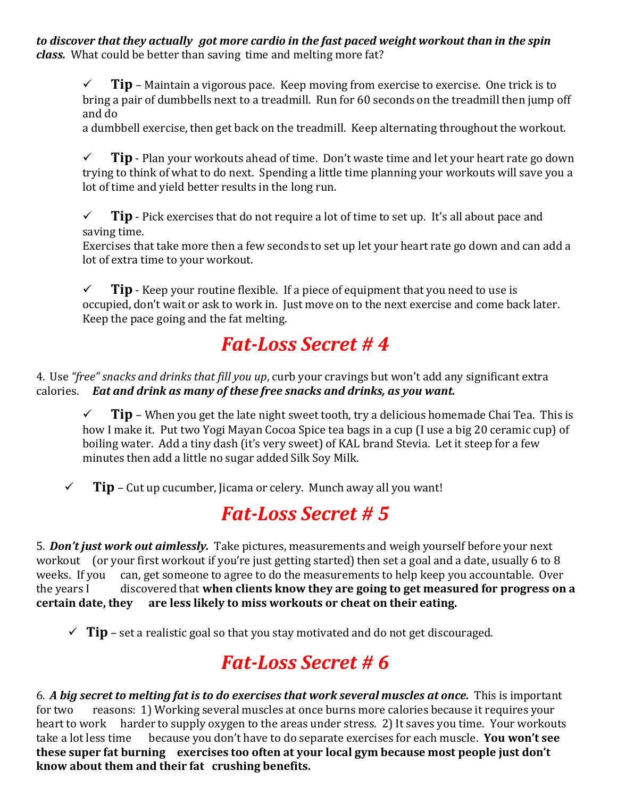*to discover that they actually got more cardio in the fast paced weight workout than in the spin class.* What could be better than saving time and melting more fat?

 $\checkmark$  **Tip** – Maintain a vigorous pace. Keep moving from exercise to exercise. One trick is to bring a pair of dumbbells next to a treadmill. Run for 60 seconds on the treadmill then jump off and do

a dumbbell exercise, then get back on the treadmill. Keep alternating throughout the workout.

 $\checkmark$  **Tip** - Plan your workouts ahead of time. Don't waste time and let your heart rate go down trying to think of what to do next. Spending a little time planning your workouts will save you a lot of time and yield better results in the long run.

 $\checkmark$  **Tip** - Pick exercises that do not require a lot of time to set up. It's all about pace and saving time.

Exercises that take more then a few seconds to set up let your heart rate go down and can add a lot of extra time to your workout.

 $\checkmark$  **Tip** - Keep your routine flexible. If a piece of equipment that you need to use is occupied, don't wait or ask to work in. Just move on to the next exercise and come back later. Keep the pace going and the fat melting.

## *Fat-Loss Secret # 4*

4. Use *"free" snacks and drinks that fill you up*, curb your cravings but won't add any significant extra calories. *Eat and drink as many of these free snacks and drinks, as you want.*

 $\checkmark$  **Tip** – When you get the late night sweet tooth, try a delicious homemade Chai Tea. This is how I make it. Put two Yogi Mayan Cocoa Spice tea bags in a cup (I use a big 20 ceramic cup) of boiling water. Add a tiny dash (it's very sweet) of KAL brand Stevia. Let it steep for a few minutes then add a little no sugar added Silk Soy Milk.

 $\checkmark$  **Tip** – Cut up cucumber, Jicama or celery. Munch away all you want!

## *Fat-Loss Secret # 5*

5. *Don't just work out aimlessly.* Take pictures, measurements and weigh yourself before your next workout (or your first workout if you're just getting started) then set a goal and a date, usually 6 to 8 weeks. If you can, get someone to agree to do the measurements to help keep you accountable. Over weeks. If you can, get someone to agree to do the measurements to help keep you accountable. Over<br>the years I discovered that **when clients know they are going to get measured for progress on** the years I discovered that **when clients know they are going to get measured for progress on a certain date, they are less likely to miss workouts or cheat on their eating.**

 $\checkmark$  Tip – set a realistic goal so that you stay motivated and do not get discouraged.

# *Fat-Loss Secret # 6*

6. *A big secret to melting fat is to do exercises that work several muscles at once.* This is important reasons: 1) Working several muscles at once burns more calories because it requires your heart to work harder to supply oxygen to the areas under stress. 2) It saves you time. Your workouts take a lot less time because you don't have to do separate exercises for each muscle. **You won't see** because you don't have to do separate exercises for each muscle. **You won't see these super fat burning exercises too often at your local gym because most people just don't know about them and their fat crushing benefits.**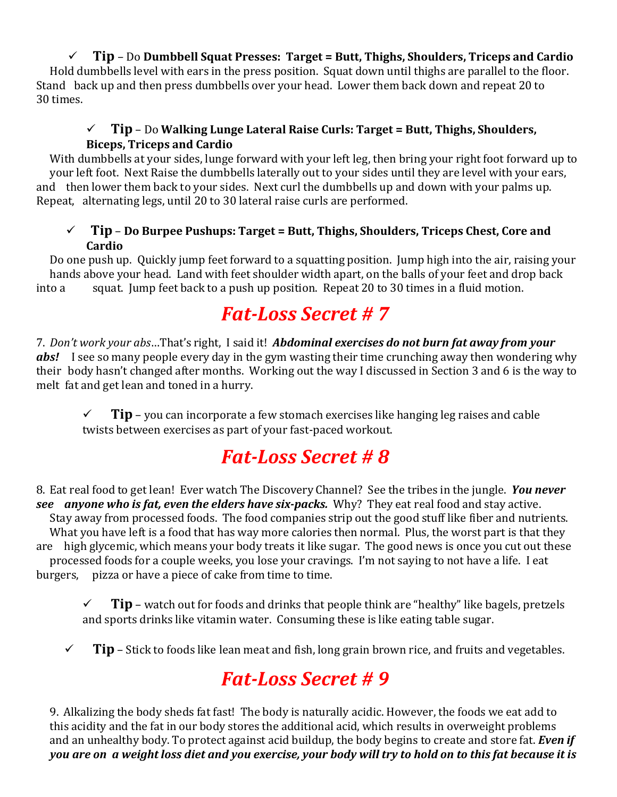#### **Tip** – Do **Dumbbell Squat Presses: Target = Butt, Thighs, Shoulders, Triceps and Cardio**

Hold dumbbells level with ears in the press position. Squat down until thighs are parallel to the floor. Stand back up and then press dumbbells over your head. Lower them back down and repeat 20 to 30 times.

#### **Tip** – Do **Walking Lunge Lateral Raise Curls: Target = Butt, Thighs, Shoulders, Biceps, Triceps and Cardio**

With dumbbells at your sides, lunge forward with your left leg, then bring your right foot forward up to your left foot. Next Raise the dumbbells laterally out to your sides until they are level with your ears, and then lower them back to your sides. Next curl the dumbbells up and down with your palms up. Repeat, alternating legs, until 20 to 30 lateral raise curls are performed.

#### **Tip** – **Do Burpee Pushups: Target = Butt, Thighs, Shoulders, Triceps Chest, Core and Cardio**

Do one push up. Quickly jump feet forward to a squatting position. Jump high into the air, raising your hands above your head. Land with feet shoulder width apart, on the balls of your feet and drop back<br>into a squat. Jump feet back to a push up position. Repeat 20 to 30 times in a fluid motion. squat. Jump feet back to a push up position. Repeat 20 to 30 times in a fluid motion.

#### *Fat-Loss Secret # 7*

7. *Don't work your abs*…That's right, I said it! *Abdominal exercises do not burn fat away from your abs!* I see so many people every day in the gym wasting their time crunching away then wondering why their body hasn't changed after months. Working out the way I discussed in Section 3 and 6 is the way to melt fat and get lean and toned in a hurry.

 $\checkmark$  **Tip** – you can incorporate a few stomach exercises like hanging leg raises and cable twists between exercises as part of your fast-paced workout.

## *Fat-Loss Secret # 8*

8. Eat real food to get lean! Ever watch The Discovery Channel? See the tribes in the jungle. *You never see anyone who is fat, even the elders have six-packs.* Why? They eat real food and stay active. Stay away from processed foods. The food companies strip out the good stuff like fiber and nutrients. What you have left is a food that has way more calories then normal. Plus, the worst part is that they are high glycemic, which means your body treats it like sugar. The good news is once you cut out these processed foods for a couple weeks, you lose your cravings. I'm not saying to not have a life. I eat pizza or have a piece of cake from time to time.

 $\checkmark$  **Tip** – watch out for foods and drinks that people think are "healthy" like bagels, pretzels and sports drinks like vitamin water. Consuming these is like eating table sugar.

 $\checkmark$  **Tip** – Stick to foods like lean meat and fish, long grain brown rice, and fruits and vegetables.

## *Fat-Loss Secret # 9*

9. Alkalizing the body sheds fat fast! The body is naturally acidic. However, the foods we eat add to this acidity and the fat in our body stores the additional acid, which results in overweight problems and an unhealthy body. To protect against acid buildup, the body begins to create and store fat. *Even if*  you are on a weight loss diet and you exercise, your body will try to hold on to this fat because it is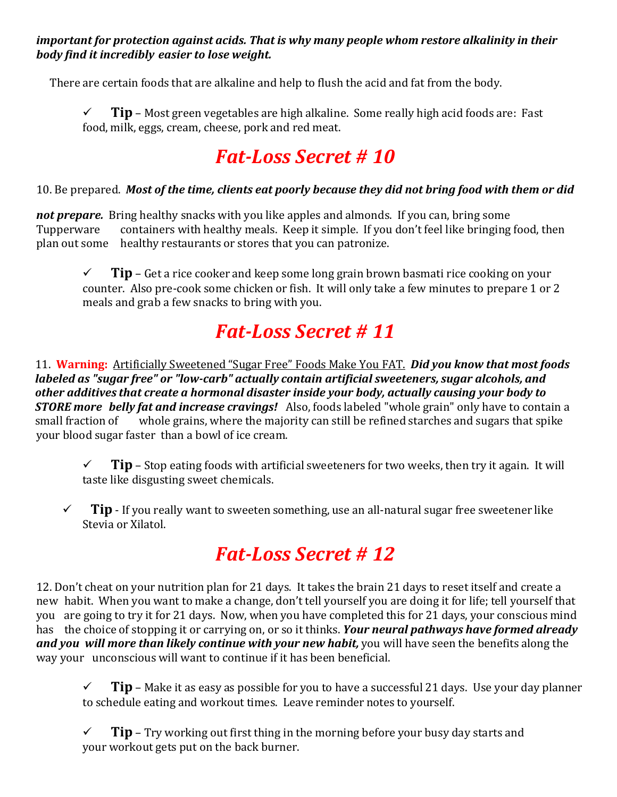*important for protection against acids. That is why many people whom restore alkalinity in their body find it incredibly easier to lose weight.*

There are certain foods that are alkaline and help to flush the acid and fat from the body.

 $\checkmark$  **Tip** – Most green vegetables are high alkaline. Some really high acid foods are: Fast food, milk, eggs, cream, cheese, pork and red meat.

## *Fat-Loss Secret # 10*

#### 10. Be prepared. *Most of the time, clients eat poorly because they did not bring food with them or did*

**not prepare.** Bring healthy snacks with you like apples and almonds. If you can, bring some Tupperware containers with healthy meals. Keep it simple. If you don't feel like bringing Tupperware containers with healthy meals. Keep it simple. If you don't feel like bringing food, then plan out some healthy restaurants or stores that you can patronize. healthy restaurants or stores that you can patronize.

 $\checkmark$  **Tip** – Get a rice cooker and keep some long grain brown basmati rice cooking on your counter. Also pre-cook some chicken or fish. It will only take a few minutes to prepare 1 or 2 meals and grab a few snacks to bring with you.

## *Fat-Loss Secret # 11*

11. **Warning:** Artificially Sweetened "Sugar Free" Foods Make You FAT. *Did you know that most foods labeled as "sugar free" or "low-carb" actually contain artificial sweeteners, sugar alcohols, and other additives that create a hormonal disaster inside your body, actually causing your body to STORE more belly fat and increase cravings!* Also, foods labeled "whole grain" only have to contain a whole grains, where the majority can still be refined starches and sugars that spike your blood sugar faster than a bowl of ice cream.

- $\checkmark$  **Tip** Stop eating foods with artificial sweeteners for two weeks, then try it again. It will taste like disgusting sweet chemicals.
- $\checkmark$  **Tip** If you really want to sweeten something, use an all-natural sugar free sweetener like Stevia or Xilatol.

# *Fat-Loss Secret # 12*

12. Don't cheat on your nutrition plan for 21 days. It takes the brain 21 days to reset itself and create a new habit. When you want to make a change, don't tell yourself you are doing it for life; tell yourself that you are going to try it for 21 days. Now, when you have completed this for 21 days, your conscious mind has the choice of stopping it or carrying on, or so it thinks. *Your neural pathways have formed already and you will more than likely continue with your new habit,* you will have seen the benefits along the way your unconscious will want to continue if it has been beneficial.

 $\checkmark$  **Tip** – Make it as easy as possible for you to have a successful 21 days. Use your day planner to schedule eating and workout times. Leave reminder notes to yourself.

 $\checkmark$  **Tip** – Try working out first thing in the morning before your busy day starts and your workout gets put on the back burner.